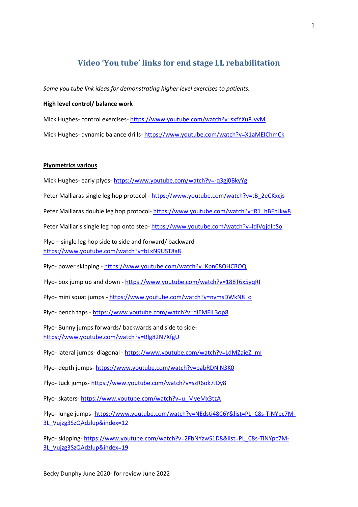# **Video 'You tube' links for end stage LL rehabilitation**

*Some you tube link ideas for demonstrating higher level exercises to patients.*

# **High level control/ balance work**

Mick Hughes- control exercises- <https://www.youtube.com/watch?v=sxfYXu8JvvM> Mick Hughes- dynamic balance drills- <https://www.youtube.com/watch?v=X1aMEIChmCk>

## **Plyometrics various**

Mick Hughes- early plyos- <https://www.youtube.com/watch?v=-q3gj0BkyYg>

Peter Malliaras single leg hop protocol - [https://www.youtube.com/watch?v=tB\\_2eCKxcjs](https://www.youtube.com/watch?v=tB_2eCKxcjs)

Peter Malliaras double leg hop protocol- [https://www.youtube.com/watch?v=R1\\_hBFnJkw8](https://www.youtube.com/watch?v=R1_hBFnJkw8)

Peter Malliaris single leg hop onto step- <https://www.youtube.com/watch?v=ldlVqjdlpSo>

Plyo – single leg hop side to side and forward/ backward <https://www.youtube.com/watch?v=bLxN9UST8a8>

Plyo- power skipping - <https://www.youtube.com/watch?v=Kpn08OHCBOQ>

Plyo- box jump up and down - <https://www.youtube.com/watch?v=188T6x5yqRI>

Plyo- mini squat jumps - [https://www.youtube.com/watch?v=nvmsDWkN8\\_o](https://www.youtube.com/watch?v=nvmsDWkN8_o)

Plyo- bench taps - <https://www.youtube.com/watch?v=diEMFIL3op8>

Plyo- Bunny jumps forwards/ backwards and side to side<https://www.youtube.com/watch?v=Blg82N7XfgU>

Plyo- lateral jumps- diagonal - [https://www.youtube.com/watch?v=LdMZaieZ\\_mI](https://www.youtube.com/watch?v=LdMZaieZ_mI)

Plyo- depth jumps- <https://www.youtube.com/watch?v=pabRDNlN3K0>

Plyo- tuck jumps- <https://www.youtube.com/watch?v=szR6ok7JDy8>

Plyo- skaters- [https://www.youtube.com/watch?v=u\\_MyeMx3tzA](https://www.youtube.com/watch?v=u_MyeMx3tzA)

Plyo- lunge jumps- [https://www.youtube.com/watch?v=NEdstj48C6Y&list=PL\\_C8s-TiNYpc7M-](https://www.youtube.com/watch?v=NEdstj48C6Y&list=PL_C8s-TiNYpc7M-3L_Vujzg3SzQAdzlup&index=12)[3L\\_Vujzg3SzQAdzlup&index=12](https://www.youtube.com/watch?v=NEdstj48C6Y&list=PL_C8s-TiNYpc7M-3L_Vujzg3SzQAdzlup&index=12)

Plyo- skipping- [https://www.youtube.com/watch?v=2FbNYzwS1D8&list=PL\\_C8s-TiNYpc7M-](https://www.youtube.com/watch?v=2FbNYzwS1D8&list=PL_C8s-TiNYpc7M-3L_Vujzg3SzQAdzlup&index=19)[3L\\_Vujzg3SzQAdzlup&index=19](https://www.youtube.com/watch?v=2FbNYzwS1D8&list=PL_C8s-TiNYpc7M-3L_Vujzg3SzQAdzlup&index=19)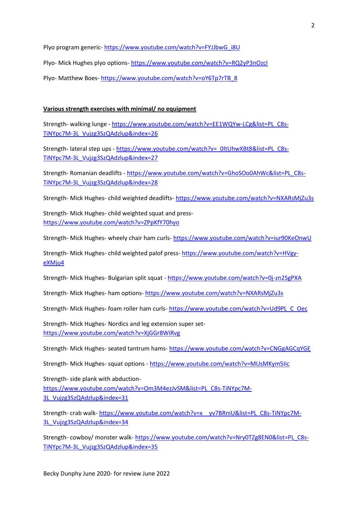Plyo program generic- [https://www.youtube.com/watch?v=FYJJbwG\\_i8U](https://www.youtube.com/watch?v=FYJJbwG_i8U)

Plyo- Mick Hughes plyo options- <https://www.youtube.com/watch?v=RQ2yP3nOzcI>

Plyo- Matthew Boes- [https://www.youtube.com/watch?v=oY6Tp7rTB\\_8](https://www.youtube.com/watch?v=oY6Tp7rTB_8)

# **Various strength exercises with minimal/ no equipment**

Strength- walking lunge - [https://www.youtube.com/watch?v=EE1WQYw-LCg&list=PL\\_C8s-](https://www.youtube.com/watch?v=EE1WQYw-LCg&list=PL_C8s-TiNYpc7M-3L_Vujzg3SzQAdzlup&index=26)[TiNYpc7M-3L\\_Vujzg3SzQAdzlup&index=26](https://www.youtube.com/watch?v=EE1WQYw-LCg&list=PL_C8s-TiNYpc7M-3L_Vujzg3SzQAdzlup&index=26)

Strength- lateral step ups - [https://www.youtube.com/watch?v=\\_0ltUhwXBt8&list=PL\\_C8s-](https://www.youtube.com/watch?v=_0ltUhwXBt8&list=PL_C8s-TiNYpc7M-3L_Vujzg3SzQAdzlup&index=27)[TiNYpc7M-3L\\_Vujzg3SzQAdzlup&index=27](https://www.youtube.com/watch?v=_0ltUhwXBt8&list=PL_C8s-TiNYpc7M-3L_Vujzg3SzQAdzlup&index=27)

Strength- Romanian deadlifts - [https://www.youtube.com/watch?v=GhoSOo0AhWc&list=PL\\_C8s-](https://www.youtube.com/watch?v=GhoSOo0AhWc&list=PL_C8s-TiNYpc7M-3L_Vujzg3SzQAdzlup&index=28)[TiNYpc7M-3L\\_Vujzg3SzQAdzlup&index=28](https://www.youtube.com/watch?v=GhoSOo0AhWc&list=PL_C8s-TiNYpc7M-3L_Vujzg3SzQAdzlup&index=28)

Strength- Mick Hughes- child weighted deadlifts- <https://www.youtube.com/watch?v=NXARsMjZu3s>

Strength- Mick Hughes- child weighted squat and press<https://www.youtube.com/watch?v=ZPpKfY70hyo>

Strength- Mick Hughes- wheely chair ham curls- <https://www.youtube.com/watch?v=iur90KeOnwU>

Strength- Mick Hughes- child weighted palof press- [https://www.youtube.com/watch?v=HVgy](https://www.youtube.com/watch?v=HVgy-eXMju4)[eXMju4](https://www.youtube.com/watch?v=HVgy-eXMju4)

Strength- Mick Hughes- Bulgarian split squat - <https://www.youtube.com/watch?v=0j-zn2SgPXA>

Strength- Mick Hughes- ham options- <https://www.youtube.com/watch?v=NXARsMjZu3s>

Strength- Mick Hughes- foam roller ham curls- [https://www.youtube.com/watch?v=Ud9PL\\_C\\_Oec](https://www.youtube.com/watch?v=Ud9PL_C_Oec)

Strength- Mick Hughes- Nordics and leg extension super set<https://www.youtube.com/watch?v=XjGGr8WiRvg>

Strength- Mick Hughes- seated tantrum hams- <https://www.youtube.com/watch?v=CNGgAGCqYGE>

Strength- Mick Hughes- squat options - <https://www.youtube.com/watch?v=MUsMKym5Iic>

Strength- side plank with abduction[https://www.youtube.com/watch?v=Om3M4ezJvSM&list=PL\\_C8s-TiNYpc7M-](https://www.youtube.com/watch?v=Om3M4ezJvSM&list=PL_C8s-TiNYpc7M-3L_Vujzg3SzQAdzlup&index=31)[3L\\_Vujzg3SzQAdzlup&index=31](https://www.youtube.com/watch?v=Om3M4ezJvSM&list=PL_C8s-TiNYpc7M-3L_Vujzg3SzQAdzlup&index=31)

Strength- crab walk- https://www.youtube.com/watch?v=x yv7BRniU&list=PL C8s-TiNYpc7M-[3L\\_Vujzg3SzQAdzlup&index=34](https://www.youtube.com/watch?v=x__yv7BRniU&list=PL_C8s-TiNYpc7M-3L_Vujzg3SzQAdzlup&index=34)

Strength- cowboy/ monster walk- [https://www.youtube.com/watch?v=Nry0TZg8EN0&list=PL\\_C8s-](https://www.youtube.com/watch?v=Nry0TZg8EN0&list=PL_C8s-TiNYpc7M-3L_Vujzg3SzQAdzlup&index=35)[TiNYpc7M-3L\\_Vujzg3SzQAdzlup&index=35](https://www.youtube.com/watch?v=Nry0TZg8EN0&list=PL_C8s-TiNYpc7M-3L_Vujzg3SzQAdzlup&index=35)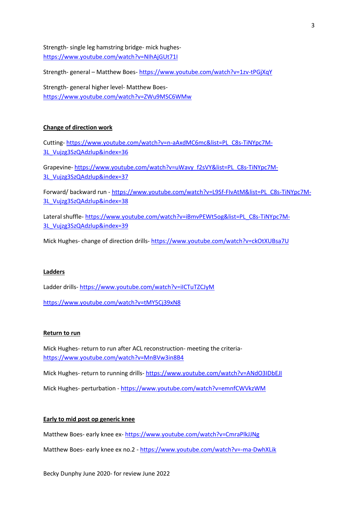Strength- single leg hamstring bridge- mick hughes<https://www.youtube.com/watch?v=NIhAjGUt71I>

Strength- general – Matthew Boes- <https://www.youtube.com/watch?v=1zv-tPGjXqY>

Strength- general higher level- Matthew Boes<https://www.youtube.com/watch?v=ZWu9MSC6WMw>

# **Change of direction work**

Cutting- [https://www.youtube.com/watch?v=n-aAxdMC6mc&list=PL\\_C8s-TiNYpc7M-](https://www.youtube.com/watch?v=n-aAxdMC6mc&list=PL_C8s-TiNYpc7M-3L_Vujzg3SzQAdzlup&index=36)[3L\\_Vujzg3SzQAdzlup&index=36](https://www.youtube.com/watch?v=n-aAxdMC6mc&list=PL_C8s-TiNYpc7M-3L_Vujzg3SzQAdzlup&index=36)

Grapevine- [https://www.youtube.com/watch?v=uWavy\\_f2sVY&list=PL\\_C8s-TiNYpc7M-](https://www.youtube.com/watch?v=uWavy_f2sVY&list=PL_C8s-TiNYpc7M-3L_Vujzg3SzQAdzlup&index=37)[3L\\_Vujzg3SzQAdzlup&index=37](https://www.youtube.com/watch?v=uWavy_f2sVY&list=PL_C8s-TiNYpc7M-3L_Vujzg3SzQAdzlup&index=37)

Forward/ backward run - [https://www.youtube.com/watch?v=L9Sf-FIvAtM&list=PL\\_C8s-TiNYpc7M-](https://www.youtube.com/watch?v=L9Sf-FIvAtM&list=PL_C8s-TiNYpc7M-3L_Vujzg3SzQAdzlup&index=38)[3L\\_Vujzg3SzQAdzlup&index=38](https://www.youtube.com/watch?v=L9Sf-FIvAtM&list=PL_C8s-TiNYpc7M-3L_Vujzg3SzQAdzlup&index=38)

Lateral shuffle- [https://www.youtube.com/watch?v=iBmvPEWt5og&list=PL\\_C8s-TiNYpc7M-](https://www.youtube.com/watch?v=iBmvPEWt5og&list=PL_C8s-TiNYpc7M-3L_Vujzg3SzQAdzlup&index=39)[3L\\_Vujzg3SzQAdzlup&index=39](https://www.youtube.com/watch?v=iBmvPEWt5og&list=PL_C8s-TiNYpc7M-3L_Vujzg3SzQAdzlup&index=39)

Mick Hughes- change of direction drills- <https://www.youtube.com/watch?v=ckOtXUBsa7U>

## **Ladders**

Ladder drills- <https://www.youtube.com/watch?v=iICTuTZCJyM>

<https://www.youtube.com/watch?v=tMY5Cj39xN8>

## **Return to run**

Mick Hughes- return to run after ACL reconstruction- meeting the criteria<https://www.youtube.com/watch?v=MnBVw3in8B4>

Mick Hughes- return to running drills- <https://www.youtube.com/watch?v=ANdO3IDbEJI>

Mick Hughes- perturbation - <https://www.youtube.com/watch?v=emnfCWVkzWM>

#### **Early to mid post op generic knee**

Matthew Boes- early knee ex- <https://www.youtube.com/watch?v=CmraPlkJJNg>

Matthew Boes- early knee ex no.2 - <https://www.youtube.com/watch?v=-ma-DwhXLik>